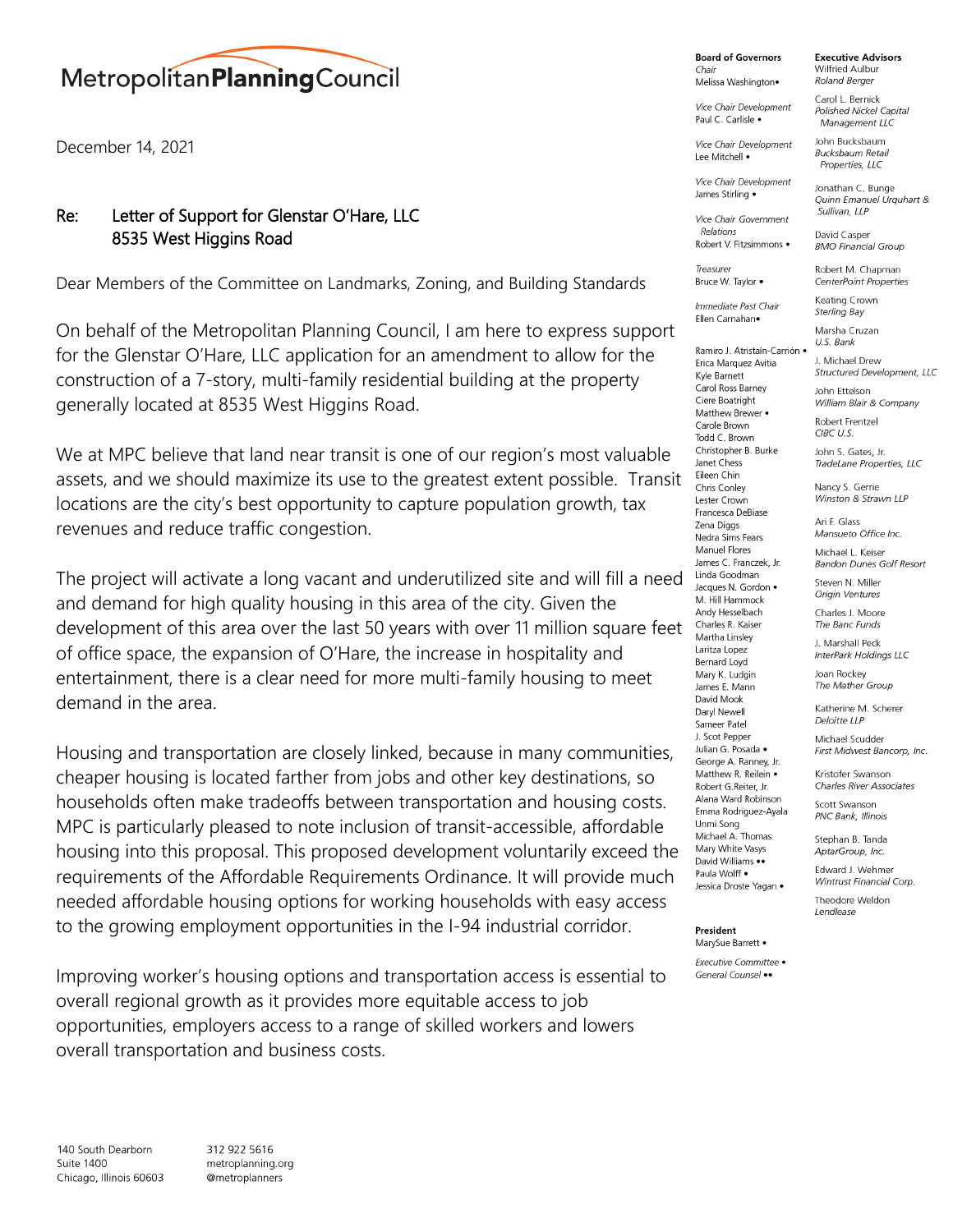## MetropolitanPlanning Council

December 14, 2021

## Re: Letter of Support for Glenstar O'Hare, LLC 8535 West Higgins Road

Dear Members of the Committee on Landmarks, Zoning, and Building Standards

On behalf of the Metropolitan Planning Council, I am here to express support for the Glenstar O'Hare, LLC application for an amendment to allow for the construction of a 7-story, multi-family residential building at the property generally located at 8535 West Higgins Road.

We at MPC believe that land near transit is one of our region's most valuable assets, and we should maximize its use to the greatest extent possible. Transit locations are the city's best opportunity to capture population growth, tax revenues and reduce traffic congestion.

The project will activate a long vacant and underutilized site and will fill a need and demand for high quality housing in this area of the city. Given the development of this area over the last 50 years with over 11 million square feet of office space, the expansion of O'Hare, the increase in hospitality and entertainment, there is a clear need for more multi-family housing to meet demand in the area.

Housing and transportation are closely linked, because in many communities, cheaper housing is located farther from jobs and other key destinations, so households often make tradeoffs between transportation and housing costs. MPC is particularly pleased to note inclusion of transit-accessible, affordable housing into this proposal. This proposed development voluntarily exceed the requirements of the Affordable Requirements Ordinance. It will provide much needed affordable housing options for working households with easy access to the growing employment opportunities in the I-94 industrial corridor.

Improving worker's housing options and transportation access is essential to overall regional growth as it provides more equitable access to job opportunities, employers access to a range of skilled workers and lowers overall transportation and business costs.

**Board of Governors** Chair

Melissa Washington•

Vice Chair Development Paul C. Carlisle .

Vice Chair Development Lee Mitchell .

Vice Chair Development James Stirling .

Vice Chair Government Relations

Treasurer Bruce W. Taylor .

Immediate Past Chair Ellen Carnahan•

Ramiro J. Atristaín-Carrión · Erica Marguez Avitia Kyle Barnett Carol Ross Barney Ciere Boatright Matthew Brewer • Carole Brown Todd C. Brown Christopher B. Burke Janet Chess Eileen Chin Chris Conley Lester Crown Francesca DeBiase Zena Diggs Nedra Sims Fears Manuel Flores James C. Franczek, Jr. Linda Goodman Jacques N. Gordon . M. Hill Hammock Andy Hesselbach Charles R. Kaiser Martha Linsley Laritza Lopez Bernard Loyd Mary K. Ludgin James E. Mann David Mook Daryl Newell Sameer Patel J. Scot Pepper Julian G. Posada · George A. Ranney, Jr. Matthew R. Reilein . Robert G.Reiter Jr. Alana Ward Robinson Emma Rodriguez-Ayala Unmi Song Michael A Thomas Mary White Vasys David Williams •• Paula Wolff • Jessica Droste Yagan .

President MarySue Barrett .

**Executive Committee •** General Counsel ••

**Executive Advisors** Wilfried Aulbur **Roland Berger** 

Carol L. Bernick Polished Nickel Capital Management LLC

John Bucksbaum **Bucksbaum Retail** Properties, LLC

David Casper

**BMO Financial Group** 

Jonathan C. Bunge Quinn Emanuel Urguhart & Sullivan IIP

Robert V. Fitzsimmons .

Robert M. Chapman CenterPoint Properties

Keating Crown **Sterling Bay** Marsha Cruzan

U.S. Bank J. Michael Drew **Structured Development, LLC** John Ettelson William Blair & Company Robert Frentzel CIBC U.S. John S. Gates, Jr. TradeLane Properties, LLC Nancy S. Gerrie Winston & Strawn LLP Ari F. Glass Mansueto Office Inc. Michael L. Keiser **Bandon Dunes Golf Resort** Steven N. Miller Origin Ventures Charles J. Moore The Banc Funds

1 Marshall Peck InterPark Holdings LLC

Joan Rockey The Mather Group

Katherine M Scherer Deloitte LLP

Michael Scudder First Midwest Bancorp, Inc.

Kristofer Swanson **Charles River Associates** 

Scott Swanson PNC Bank, Illinois

Stephan B. Tanda AptarGroup, Inc.

Theodore Weldon Lendlease

Edward J. Wehmer Wintrust Financial Corp.

140 South Dearborn Suite 1400 Chicago, Illinois 60603

312 922 5616 metroplanning.org @metroplanners